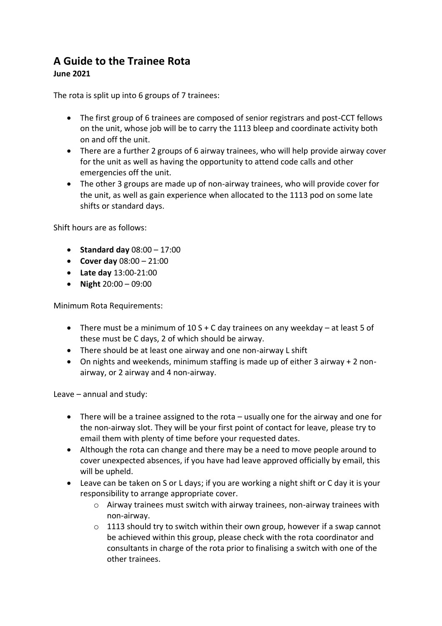## **A Guide to the Trainee Rota June 2021**

The rota is split up into 6 groups of 7 trainees:

- The first group of 6 trainees are composed of senior registrars and post-CCT fellows on the unit, whose job will be to carry the 1113 bleep and coordinate activity both on and off the unit.
- There are a further 2 groups of 6 airway trainees, who will help provide airway cover for the unit as well as having the opportunity to attend code calls and other emergencies off the unit.
- The other 3 groups are made up of non-airway trainees, who will provide cover for the unit, as well as gain experience when allocated to the 1113 pod on some late shifts or standard days.

Shift hours are as follows:

- **Standard day** 08:00 17:00
- **Cover day** 08:00 21:00
- **Late day** 13:00-21:00
- **Night** 20:00 09:00

Minimum Rota Requirements:

- There must be a minimum of 10 S + C day trainees on any weekday at least 5 of these must be C days, 2 of which should be airway.
- There should be at least one airway and one non-airway L shift
- On nights and weekends, minimum staffing is made up of either 3 airway + 2 nonairway, or 2 airway and 4 non-airway.

Leave – annual and study:

- There will be a trainee assigned to the rota usually one for the airway and one for the non-airway slot. They will be your first point of contact for leave, please try to email them with plenty of time before your requested dates.
- Although the rota can change and there may be a need to move people around to cover unexpected absences, if you have had leave approved officially by email, this will be upheld.
- Leave can be taken on S or L days; if you are working a night shift or C day it is your responsibility to arrange appropriate cover.
	- $\circ$  Airway trainees must switch with airway trainees, non-airway trainees with non-airway.
	- o 1113 should try to switch within their own group, however if a swap cannot be achieved within this group, please check with the rota coordinator and consultants in charge of the rota prior to finalising a switch with one of the other trainees.